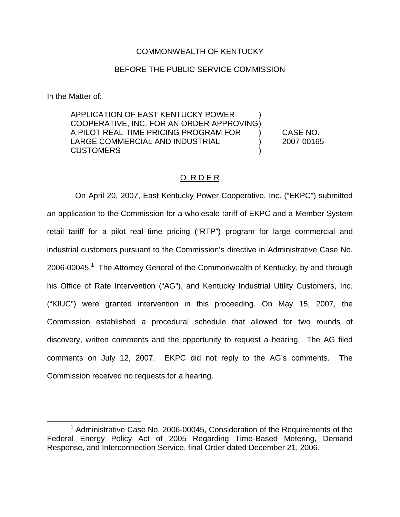## COMMONWEALTH OF KENTUCKY

## BEFORE THE PUBLIC SERVICE COMMISSION

In the Matter of:

APPLICATION OF EAST KENTUCKY POWER ) COOPERATIVE, INC. FOR AN ORDER APPROVING) A PILOT REAL-TIME PRICING PROGRAM FOR ) CASE NO. LARGE COMMERCIAL AND INDUSTRIAL (2007-00165) **CUSTOMERS** 

# O R D E R

On April 20, 2007, East Kentucky Power Cooperative, Inc. ("EKPC") submitted an application to the Commission for a wholesale tariff of EKPC and a Member System retail tariff for a pilot real–time pricing ("RTP") program for large commercial and industrial customers pursuant to the Commission's directive in Administrative Case No. 2006-00045.<sup>1</sup> The Attorney General of the Commonwealth of Kentucky, by and through his Office of Rate Intervention ("AG"), and Kentucky Industrial Utility Customers, Inc. ("KIUC") were granted intervention in this proceeding. On May 15, 2007, the Commission established a procedural schedule that allowed for two rounds of discovery, written comments and the opportunity to request a hearing. The AG filed comments on July 12, 2007. EKPC did not reply to the AG's comments. The Commission received no requests for a hearing.

 $1$  Administrative Case No. 2006-00045, Consideration of the Requirements of the Federal Energy Policy Act of 2005 Regarding Time-Based Metering, Demand Response, and Interconnection Service, final Order dated December 21, 2006.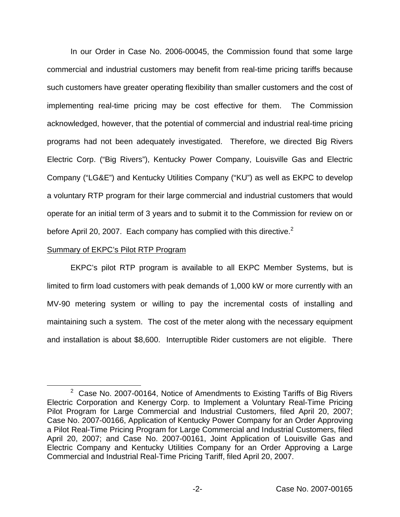In our Order in Case No. 2006-00045, the Commission found that some large commercial and industrial customers may benefit from real-time pricing tariffs because such customers have greater operating flexibility than smaller customers and the cost of implementing real-time pricing may be cost effective for them. The Commission acknowledged, however, that the potential of commercial and industrial real-time pricing programs had not been adequately investigated. Therefore, we directed Big Rivers Electric Corp. ("Big Rivers"), Kentucky Power Company, Louisville Gas and Electric Company ("LG&E") and Kentucky Utilities Company ("KU") as well as EKPC to develop a voluntary RTP program for their large commercial and industrial customers that would operate for an initial term of 3 years and to submit it to the Commission for review on or before April 20, 2007. Each company has complied with this directive.<sup>2</sup>

## Summary of EKPC's Pilot RTP Program

EKPC's pilot RTP program is available to all EKPC Member Systems, but is limited to firm load customers with peak demands of 1,000 kW or more currently with an MV-90 metering system or willing to pay the incremental costs of installing and maintaining such a system. The cost of the meter along with the necessary equipment and installation is about \$8,600. Interruptible Rider customers are not eligible. There

 $2$  Case No. 2007-00164, Notice of Amendments to Existing Tariffs of Big Rivers Electric Corporation and Kenergy Corp. to Implement a Voluntary Real-Time Pricing Pilot Program for Large Commercial and Industrial Customers, filed April 20, 2007; Case No. 2007-00166, Application of Kentucky Power Company for an Order Approving a Pilot Real-Time Pricing Program for Large Commercial and Industrial Customers, filed April 20, 2007; and Case No. 2007-00161, Joint Application of Louisville Gas and Electric Company and Kentucky Utilities Company for an Order Approving a Large Commercial and Industrial Real-Time Pricing Tariff, filed April 20, 2007.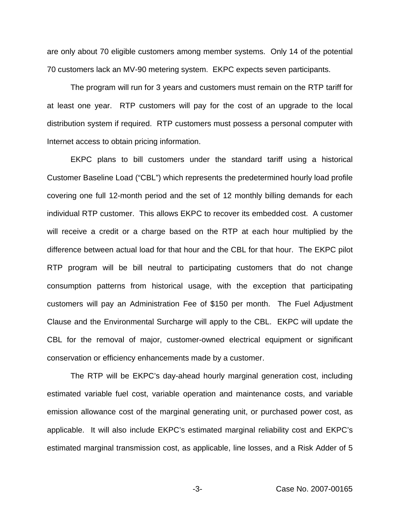are only about 70 eligible customers among member systems. Only 14 of the potential 70 customers lack an MV-90 metering system. EKPC expects seven participants.

The program will run for 3 years and customers must remain on the RTP tariff for at least one year. RTP customers will pay for the cost of an upgrade to the local distribution system if required. RTP customers must possess a personal computer with Internet access to obtain pricing information.

EKPC plans to bill customers under the standard tariff using a historical Customer Baseline Load ("CBL") which represents the predetermined hourly load profile covering one full 12-month period and the set of 12 monthly billing demands for each individual RTP customer. This allows EKPC to recover its embedded cost. A customer will receive a credit or a charge based on the RTP at each hour multiplied by the difference between actual load for that hour and the CBL for that hour. The EKPC pilot RTP program will be bill neutral to participating customers that do not change consumption patterns from historical usage, with the exception that participating customers will pay an Administration Fee of \$150 per month. The Fuel Adjustment Clause and the Environmental Surcharge will apply to the CBL. EKPC will update the CBL for the removal of major, customer-owned electrical equipment or significant conservation or efficiency enhancements made by a customer.

The RTP will be EKPC's day-ahead hourly marginal generation cost, including estimated variable fuel cost, variable operation and maintenance costs, and variable emission allowance cost of the marginal generating unit, or purchased power cost, as applicable. It will also include EKPC's estimated marginal reliability cost and EKPC's estimated marginal transmission cost, as applicable, line losses, and a Risk Adder of 5

-3- Case No. 2007-00165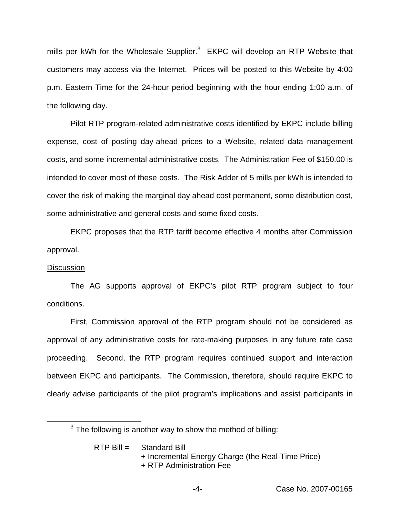mills per kWh for the Wholesale Supplier.<sup>3</sup> EKPC will develop an RTP Website that customers may access via the Internet. Prices will be posted to this Website by 4:00 p.m. Eastern Time for the 24-hour period beginning with the hour ending 1:00 a.m. of the following day.

Pilot RTP program-related administrative costs identified by EKPC include billing expense, cost of posting day-ahead prices to a Website, related data management costs, and some incremental administrative costs. The Administration Fee of \$150.00 is intended to cover most of these costs. The Risk Adder of 5 mills per kWh is intended to cover the risk of making the marginal day ahead cost permanent, some distribution cost, some administrative and general costs and some fixed costs.

EKPC proposes that the RTP tariff become effective 4 months after Commission approval.

#### **Discussion**

The AG supports approval of EKPC's pilot RTP program subject to four conditions.

First, Commission approval of the RTP program should not be considered as approval of any administrative costs for rate-making purposes in any future rate case proceeding. Second, the RTP program requires continued support and interaction between EKPC and participants. The Commission, therefore, should require EKPC to clearly advise participants of the pilot program's implications and assist participants in

 $3$  The following is another way to show the method of billing:

RTP Bill = Standard Bill + Incremental Energy Charge (the Real-Time Price) + RTP Administration Fee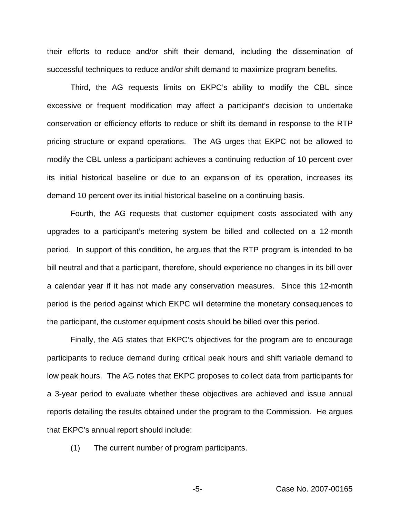their efforts to reduce and/or shift their demand, including the dissemination of successful techniques to reduce and/or shift demand to maximize program benefits.

Third, the AG requests limits on EKPC's ability to modify the CBL since excessive or frequent modification may affect a participant's decision to undertake conservation or efficiency efforts to reduce or shift its demand in response to the RTP pricing structure or expand operations. The AG urges that EKPC not be allowed to modify the CBL unless a participant achieves a continuing reduction of 10 percent over its initial historical baseline or due to an expansion of its operation, increases its demand 10 percent over its initial historical baseline on a continuing basis.

Fourth, the AG requests that customer equipment costs associated with any upgrades to a participant's metering system be billed and collected on a 12-month period. In support of this condition, he argues that the RTP program is intended to be bill neutral and that a participant, therefore, should experience no changes in its bill over a calendar year if it has not made any conservation measures. Since this 12-month period is the period against which EKPC will determine the monetary consequences to the participant, the customer equipment costs should be billed over this period.

Finally, the AG states that EKPC's objectives for the program are to encourage participants to reduce demand during critical peak hours and shift variable demand to low peak hours. The AG notes that EKPC proposes to collect data from participants for a 3-year period to evaluate whether these objectives are achieved and issue annual reports detailing the results obtained under the program to the Commission. He argues that EKPC's annual report should include:

(1) The current number of program participants.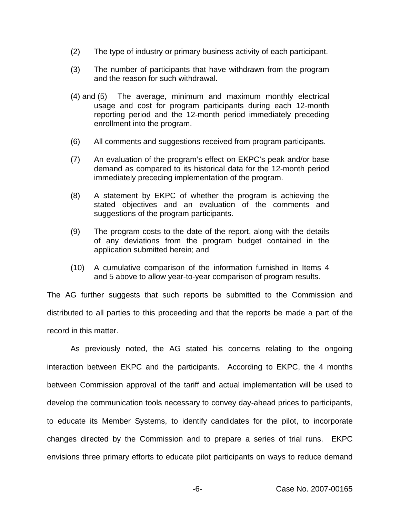- (2) The type of industry or primary business activity of each participant.
- (3) The number of participants that have withdrawn from the program and the reason for such withdrawal.
- (4) and (5) The average, minimum and maximum monthly electrical usage and cost for program participants during each 12-month reporting period and the 12-month period immediately preceding enrollment into the program.
- (6) All comments and suggestions received from program participants.
- (7) An evaluation of the program's effect on EKPC's peak and/or base demand as compared to its historical data for the 12-month period immediately preceding implementation of the program.
- (8) A statement by EKPC of whether the program is achieving the stated objectives and an evaluation of the comments and suggestions of the program participants.
- (9) The program costs to the date of the report, along with the details of any deviations from the program budget contained in the application submitted herein; and
- (10) A cumulative comparison of the information furnished in Items 4 and 5 above to allow year-to-year comparison of program results.

The AG further suggests that such reports be submitted to the Commission and distributed to all parties to this proceeding and that the reports be made a part of the record in this matter.

As previously noted, the AG stated his concerns relating to the ongoing interaction between EKPC and the participants. According to EKPC, the 4 months between Commission approval of the tariff and actual implementation will be used to develop the communication tools necessary to convey day-ahead prices to participants, to educate its Member Systems, to identify candidates for the pilot, to incorporate changes directed by the Commission and to prepare a series of trial runs. EKPC envisions three primary efforts to educate pilot participants on ways to reduce demand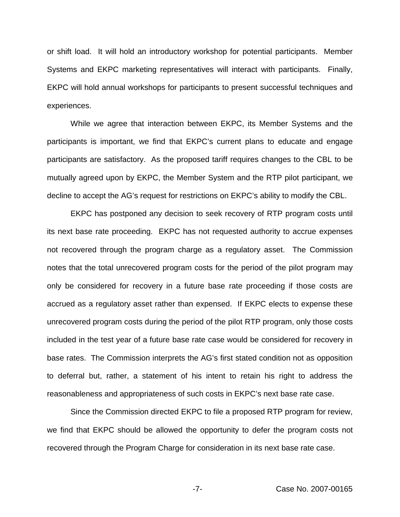or shift load. It will hold an introductory workshop for potential participants. Member Systems and EKPC marketing representatives will interact with participants. Finally, EKPC will hold annual workshops for participants to present successful techniques and experiences.

While we agree that interaction between EKPC, its Member Systems and the participants is important, we find that EKPC's current plans to educate and engage participants are satisfactory. As the proposed tariff requires changes to the CBL to be mutually agreed upon by EKPC, the Member System and the RTP pilot participant, we decline to accept the AG's request for restrictions on EKPC's ability to modify the CBL.

EKPC has postponed any decision to seek recovery of RTP program costs until its next base rate proceeding. EKPC has not requested authority to accrue expenses not recovered through the program charge as a regulatory asset. The Commission notes that the total unrecovered program costs for the period of the pilot program may only be considered for recovery in a future base rate proceeding if those costs are accrued as a regulatory asset rather than expensed. If EKPC elects to expense these unrecovered program costs during the period of the pilot RTP program, only those costs included in the test year of a future base rate case would be considered for recovery in base rates. The Commission interprets the AG's first stated condition not as opposition to deferral but, rather, a statement of his intent to retain his right to address the reasonableness and appropriateness of such costs in EKPC's next base rate case.

Since the Commission directed EKPC to file a proposed RTP program for review, we find that EKPC should be allowed the opportunity to defer the program costs not recovered through the Program Charge for consideration in its next base rate case.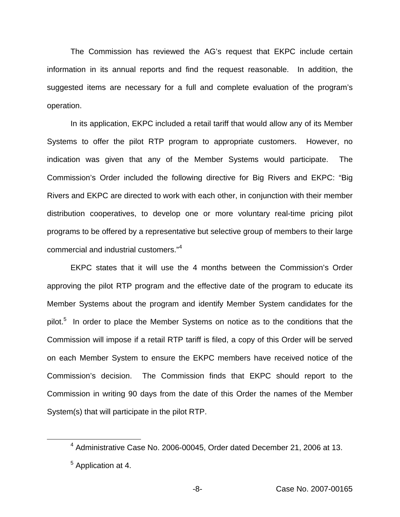The Commission has reviewed the AG's request that EKPC include certain information in its annual reports and find the request reasonable. In addition, the suggested items are necessary for a full and complete evaluation of the program's operation.

In its application, EKPC included a retail tariff that would allow any of its Member Systems to offer the pilot RTP program to appropriate customers. However, no indication was given that any of the Member Systems would participate. The Commission's Order included the following directive for Big Rivers and EKPC: "Big Rivers and EKPC are directed to work with each other, in conjunction with their member distribution cooperatives, to develop one or more voluntary real-time pricing pilot programs to be offered by a representative but selective group of members to their large commercial and industrial customers."<sup>4</sup>

EKPC states that it will use the 4 months between the Commission's Order approving the pilot RTP program and the effective date of the program to educate its Member Systems about the program and identify Member System candidates for the pilot.<sup>5</sup> In order to place the Member Systems on notice as to the conditions that the Commission will impose if a retail RTP tariff is filed, a copy of this Order will be served on each Member System to ensure the EKPC members have received notice of the Commission's decision. The Commission finds that EKPC should report to the Commission in writing 90 days from the date of this Order the names of the Member System(s) that will participate in the pilot RTP.

<sup>4</sup> Administrative Case No. 2006-00045, Order dated December 21, 2006 at 13.

<sup>&</sup>lt;sup>5</sup> Application at 4.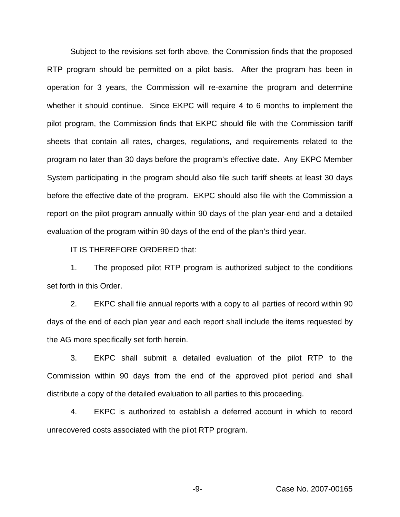Subject to the revisions set forth above, the Commission finds that the proposed RTP program should be permitted on a pilot basis. After the program has been in operation for 3 years, the Commission will re-examine the program and determine whether it should continue. Since EKPC will require 4 to 6 months to implement the pilot program, the Commission finds that EKPC should file with the Commission tariff sheets that contain all rates, charges, regulations, and requirements related to the program no later than 30 days before the program's effective date. Any EKPC Member System participating in the program should also file such tariff sheets at least 30 days before the effective date of the program. EKPC should also file with the Commission a report on the pilot program annually within 90 days of the plan year-end and a detailed evaluation of the program within 90 days of the end of the plan's third year.

IT IS THEREFORE ORDERED that:

1. The proposed pilot RTP program is authorized subject to the conditions set forth in this Order.

2. EKPC shall file annual reports with a copy to all parties of record within 90 days of the end of each plan year and each report shall include the items requested by the AG more specifically set forth herein.

3. EKPC shall submit a detailed evaluation of the pilot RTP to the Commission within 90 days from the end of the approved pilot period and shall distribute a copy of the detailed evaluation to all parties to this proceeding.

4. EKPC is authorized to establish a deferred account in which to record unrecovered costs associated with the pilot RTP program.